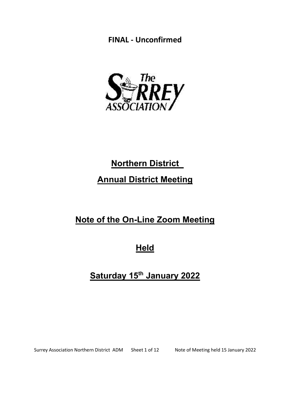

# **Northern District** Annual District Meeting

# Note of the On-Line Zoom Meeting

**Held** 

# Saturday 15<sup>th</sup> January 2022

Surrey Association Northern District ADM Sheet 1 of 12 Note of Meeting held 15 January 2022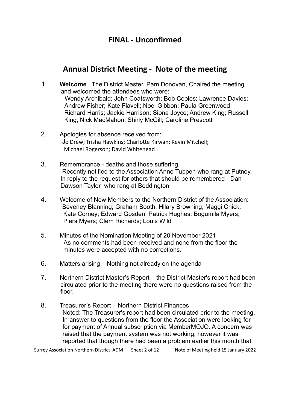### Annual District Meeting - Note of the meeting

- 1. Welcome The District Master, Pam Donovan, Chaired the meeting and welcomed the attendees who were: Wendy Archibald; John Coatsworth; Bob Cooles; Lawrence Davies; Andrew Fisher; Kate Flavell; Noel Gibbon; Paula Greenwood; Richard Harris; Jackie Harrison; Siona Joyce; Andrew King; Russell King; Nick MacMahon; Shirly McGill; Caroline Prescott
- 2. Apologies for absence received from: Jo Drew; Trisha Hawkins; Charlotte Kirwan; Kevin Mitchell; Michael Rogerson; David Whitehead
- 3. Remembrance deaths and those suffering Recently notified to the Association Anne Tuppen who rang at Putney. In reply to the request for others that should be remembered - Dan Dawson Taylor who rang at Beddington
- 4. Welcome of New Members to the Northern District of the Association: Beverley Blanning; Graham Booth; Hilary Browning; Maggi Chick; Kate Corney; Edward Gosden; Patrick Hughes; Bogumila Myers; Piers Myers; Clem Richards; Louis Wild
- 5. Minutes of the Nomination Meeting of 20 November 2021 As no comments had been received and none from the floor the minutes were accepted with no corrections.
- 6. Matters arising Nothing not already on the agenda
- 7. Northern District Master's Report the District Master's report had been circulated prior to the meeting there were no questions raised from the floor.
- 8. Treasurer's Report Northern District Finances Noted: The Treasurer's report had been circulated prior to the meeting. In answer to questions from the floor the Association were looking for for payment of Annual subscription via MemberMOJO. A concern was raised that the payment system was not working, however it was reported that though there had been a problem earlier this month that

Surrey Association Northern District ADM Sheet 2 of 12 Note of Meeting held 15 January 2022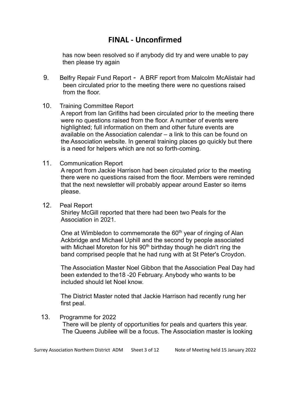has now been resolved so if anybody did try and were unable to pay then please try again

9. Belfry Repair Fund Report - A BRF report from Malcolm McAlistair had been circulated prior to the meeting there were no questions raised from the floor.

### 10. Training Committee Report

 A report from Ian Grifiths had been circulated prior to the meeting there were no questions raised from the floor. A number of events were highlighted; full information on them and other future events are available on the Association calendar – a link to this can be found on the Association website. In general training places go quickly but there is a need for helpers which are not so forth-coming.

### 11. Communication Report

 A report from Jackie Harrison had been circulated prior to the meeting there were no questions raised from the floor. Members were reminded that the next newsletter will probably appear around Easter so items please.

12. Peal Report

 Shirley McGill reported that there had been two Peals for the Association in 2021.

One at Wimbledon to commemorate the 60<sup>th</sup> year of ringing of Alan Ackbridge and Michael Uphill and the second by people associated with Michael Moreton for his  $90<sup>th</sup>$  birthday though he didn't ring the band comprised people that he had rung with at St Peter's Croydon.

 The Association Master Noel Gibbon that the Association Peal Day had been extended to the18 -20 February. Anybody who wants to be included should let Noel know.

 The District Master noted that Jackie Harrison had recently rung her first peal.

13. Programme for 2022 There will be plenty of opportunities for peals and quarters this year. The Queens Jubilee will be a focus. The Association master is looking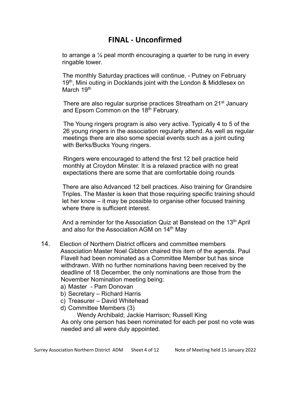to arrange a ¼ peal month encouraging a quarter to be rung in every ringable tower.

The monthly Saturday practices will continue. - Putney on February 19<sup>th</sup>, Mini outing in Docklands joint with the London & Middlesex on March 19<sup>th</sup>

There are also regular surprise practices Streatham on 21<sup>st</sup> January and Epsom Common on the 18<sup>th</sup> February.

The Young ringers program is also very active. Typically 4 to 5 of the 26 young ringers in the association regularly attend. As well as regular meetings there are also some special events such as a joint outing with Berks/Bucks Young ringers.

Ringers were encouraged to attend the first 12 bell practice held monthly at Croydon Minster. It is a relaxed practice with no great expectations there are some that are comfortable doing rounds

There are also Advanced 12 bell practices. Also training for Grandsire Triples. The Master is keen that those requiring specific training should let her know – it may be possible to organise other focused training where there is sufficient interest.

And a reminder for the Association Quiz at Banstead on the 13<sup>th</sup> April and also for the Association AGM on 14<sup>th</sup> May

- 14. Election of Northern District officers and committee members Association Master Noel Gibbon chaired this item of the agenda. Paul Flavell had been nominated as a Committee Member but has since withdrawn. With no further nominations having been received by the deadline of 18 December, the only nominations are those from the November Nomination meeting being:
	- a) Master Pam Donovan
	- b) Secretary Richard Harris
	- c) Treasurer David Whitehead
	- d) Committee Members (3)

Wendy Archibald; Jackie Harrison; Russell King

As only one person has been nominated for each per post no vote was needed and all were duly appointed.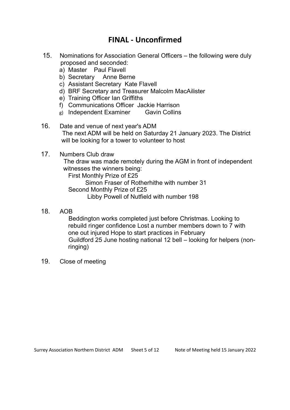- 15. Nominations for Association General Officers the following were duly proposed and seconded:
	- a) Master Paul Flavell
	- b) Secretary Anne Berne
	- c) Assistant Secretary Kate Flavell
	- d) BRF Secretary and Treasurer Malcolm MacAilister
	- e) Training Officer Ian Griffiths
	- f) Communications Officer Jackie Harrison
	- g) Independent Examiner Gavin Collins
- 16. Date and venue of next year's ADM The next ADM will be held on Saturday 21 January 2023. The District will be looking for a tower to volunteer to host
- 17. Numbers Club draw

The draw was made remotely during the AGM in front of independent witnesses the winners being:

First Monthly Prize of £25

 Simon Fraser of Rotherhithe with number 31 Second Monthly Prize of £25

Libby Powell of Nutfield with number 198

18. AOB

Beddington works completed just before Christmas. Looking to rebuild ringer confidence Lost a number members down to 7 with one out injured Hope to start practices in February Guildford 25 June hosting national 12 bell – looking for helpers (nonringing)

19. Close of meeting

Surrey Association Northern District ADM Sheet 5 of 12 Note of Meeting held 15 January 2022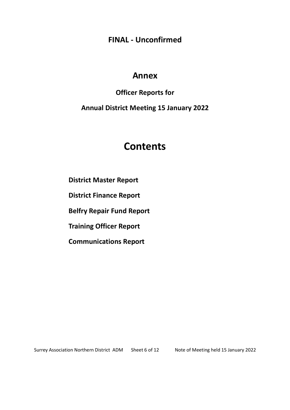## Annex

### Officer Reports for

Annual District Meeting 15 January 2022

# Contents

District Master Report

District Finance Report

Belfry Repair Fund Report

Training Officer Report

Communications Report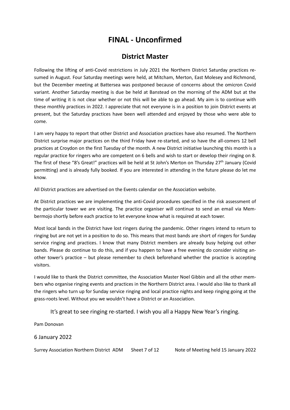### District Master

Following the lifting of anti-Covid restrictions in July 2021 the Northern District Saturday practices resumed in August. Four Saturday meetings were held, at Mitcham, Merton, East Molesey and Richmond, but the December meeting at Battersea was postponed because of concerns about the omicron Covid variant. Another Saturday meeting is due be held at Banstead on the morning of the ADM but at the time of writing it is not clear whether or not this will be able to go ahead. My aim is to continue with these monthly practices in 2022. I appreciate that not everyone is in a position to join District events at present, but the Saturday practices have been well attended and enjoyed by those who were able to come.

I am very happy to report that other District and Association practices have also resumed. The Northern District surprise major practices on the third Friday have re-started, and so have the all-comers 12 bell practices at Croydon on the first Tuesday of the month. A new District initiative launching this month is a regular practice for ringers who are competent on 6 bells and wish to start or develop their ringing on 8. The first of these "8's Great!" practices will be held at St John's Merton on Thursday 27<sup>th</sup> January (Covid permitting) and is already fully booked. If you are interested in attending in the future please do let me know.

All District practices are advertised on the Events calendar on the Association website.

At District practices we are implementing the anti-Covid procedures specified in the risk assessment of the particular tower we are visiting. The practice organiser will continue to send an email via Membermojo shortly before each practice to let everyone know what is required at each tower.

Most local bands in the District have lost ringers during the pandemic. Other ringers intend to return to ringing but are not yet in a position to do so. This means that most bands are short of ringers for Sunday service ringing and practices. I know that many District members are already busy helping out other bands. Please do continue to do this, and if you happen to have a free evening do consider visiting another tower's practice – but please remember to check beforehand whether the practice is accepting visitors.

I would like to thank the District committee, the Association Master Noel Gibbin and all the other members who organise ringing events and practices in the Northern District area. I would also like to thank all the ringers who turn up for Sunday service ringing and local practice nights and keep ringing going at the grass-roots level. Without you we wouldn't have a District or an Association.

It's great to see ringing re-started. I wish you all a Happy New Year's ringing.

Pam Donovan

6 January 2022

Surrey Association Northern District ADM Sheet 7 of 12 Note of Meeting held 15 January 2022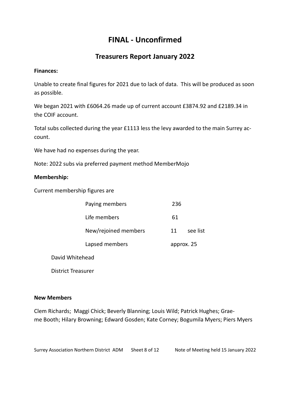### Treasurers Report January 2022

### Finances:

Unable to create final figures for 2021 due to lack of data. This will be produced as soon as possible.

We began 2021 with £6064.26 made up of current account £3874.92 and £2189.34 in the COIF account.

Total subs collected during the year £1113 less the levy awarded to the main Surrey account.

We have had no expenses during the year.

Note: 2022 subs via preferred payment method MemberMojo

### Membership:

Current membership figures are

| Paying members       | 236        |          |
|----------------------|------------|----------|
| Life members         | 61         |          |
| New/rejoined members | 11         | see list |
| Lapsed members       | approx. 25 |          |
|                      |            |          |

David Whitehead

District Treasurer

### New Members

Clem Richards; Maggi Chick; Beverly Blanning; Louis Wild; Patrick Hughes; Graeme Booth; Hilary Browning; Edward Gosden; Kate Corney; Bogumila Myers; Piers Myers

Surrey Association Northern District ADM Sheet 8 of 12 Note of Meeting held 15 January 2022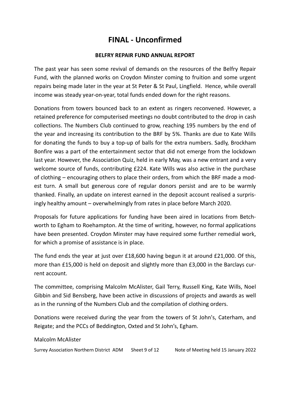### BELFRY REPAIR FUND ANNUAL REPORT

The past year has seen some revival of demands on the resources of the Belfry Repair Fund, with the planned works on Croydon Minster coming to fruition and some urgent repairs being made later in the year at St Peter & St Paul, Lingfield. Hence, while overall income was steady year-on-year, total funds ended down for the right reasons.

Donations from towers bounced back to an extent as ringers reconvened. However, a retained preference for computerised meetings no doubt contributed to the drop in cash collections. The Numbers Club continued to grow, reaching 195 numbers by the end of the year and increasing its contribution to the BRF by 5%. Thanks are due to Kate Wills for donating the funds to buy a top-up of balls for the extra numbers. Sadly, Brockham Bonfire was a part of the entertainment sector that did not emerge from the lockdown last year. However, the Association Quiz, held in early May, was a new entrant and a very welcome source of funds, contributing £224. Kate Wills was also active in the purchase of clothing – encouraging others to place their orders, from which the BRF made a modest turn. A small but generous core of regular donors persist and are to be warmly thanked. Finally, an update on interest earned in the deposit account realised a surprisingly healthy amount – overwhelmingly from rates in place before March 2020.

Proposals for future applications for funding have been aired in locations from Betchworth to Egham to Roehampton. At the time of writing, however, no formal applications have been presented. Croydon Minster may have required some further remedial work, for which a promise of assistance is in place.

The fund ends the year at just over £18,600 having begun it at around £21,000. Of this, more than £15,000 is held on deposit and slightly more than £3,000 in the Barclays current account.

The committee, comprising Malcolm McAlister, Gail Terry, Russell King, Kate Wills, Noel Gibbin and Sid Bensberg, have been active in discussions of projects and awards as well as in the running of the Numbers Club and the compilation of clothing orders.

Donations were received during the year from the towers of St John's, Caterham, and Reigate; and the PCCs of Beddington, Oxted and St John's, Egham.

Malcolm McAlister

Surrey Association Northern District ADM Sheet 9 of 12 Note of Meeting held 15 January 2022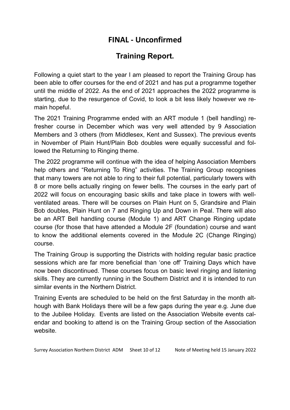# Training Report.

Following a quiet start to the year I am pleased to report the Training Group has been able to offer courses for the end of 2021 and has put a programme together until the middle of 2022. As the end of 2021 approaches the 2022 programme is starting, due to the resurgence of Covid, to look a bit less likely however we remain hopeful.

The 2021 Training Programme ended with an ART module 1 (bell handling) refresher course in December which was very well attended by 9 Association Members and 3 others (from Middlesex, Kent and Sussex). The previous events in November of Plain Hunt/Plain Bob doubles were equally successful and followed the Returning to Ringing theme.

The 2022 programme will continue with the idea of helping Association Members help others and "Returning To Ring" activities. The Training Group recognises that many towers are not able to ring to their full potential, particularly towers with 8 or more bells actually ringing on fewer bells. The courses in the early part of 2022 will focus on encouraging basic skills and take place in towers with wellventilated areas. There will be courses on Plain Hunt on 5, Grandsire and Plain Bob doubles, Plain Hunt on 7 and Ringing Up and Down in Peal. There will also be an ART Bell handling course (Module 1) and ART Change Ringing update course (for those that have attended a Module 2F (foundation) course and want to know the additional elements covered in the Module 2C (Change Ringing) course.

The Training Group is supporting the Districts with holding regular basic practice sessions which are far more beneficial than 'one off' Training Days which have now been discontinued. These courses focus on basic level ringing and listening skills. They are currently running in the Southern District and it is intended to run similar events in the Northern District.

Training Events are scheduled to be held on the first Saturday in the month although with Bank Holidays there will be a few gaps during the year e.g. June due to the Jubilee Holiday. Events are listed on the Association Website events calendar and booking to attend is on the Training Group section of the Association website.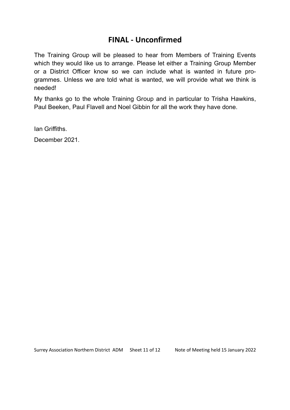The Training Group will be pleased to hear from Members of Training Events which they would like us to arrange. Please let either a Training Group Member or a District Officer know so we can include what is wanted in future programmes. Unless we are told what is wanted, we will provide what we think is needed!

My thanks go to the whole Training Group and in particular to Trisha Hawkins, Paul Beeken, Paul Flavell and Noel Gibbin for all the work they have done.

Ian Griffiths.

December 2021.

Surrey Association Northern District ADM Sheet 11 of 12 Note of Meeting held 15 January 2022